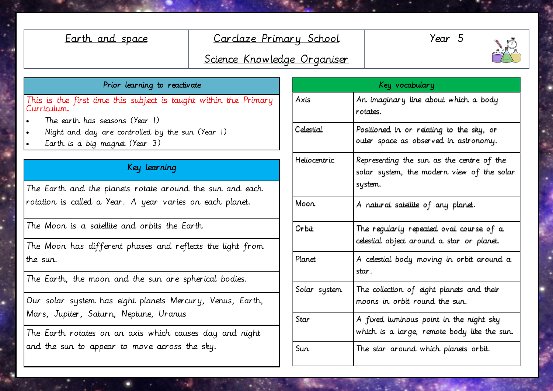## Earth and space Carclaze Primary School

Year 5



# Science Knowledge Organiser

#### Prior learning to reactivate

This is the first time this subject is taught within the Primary Curriculum.

- The earth has seasons (Year 1)
- Night and day are controlled by the sun (Year 1)
- Earth is a big magnet (Year 3)

## Key learning

The Earth and the planets rotate around the sun and each rotation is called a Year. A year varies on each planet.

The Moon is a satellite and orbits the Earth

The Moon has different phases and reflects the light from the sun.

The Earth, the moon and the sun are spherical bodies.

Our solar system has eight planets Mercury, Venus, Earth, Mars, Jupiter, Saturn, Neptune, Uranus

The Earth rotates on an axis which causes day and night and the sun to appear to move across the sky.

| Key vocabulary   |                                                                                                   |
|------------------|---------------------------------------------------------------------------------------------------|
| Axis             | An imaginary line about which a body<br>rotates.                                                  |
| <b>Celestial</b> | Positioned in or relating to the sky, or<br>outer space as observed in astronomy.                 |
| Heliocentric     | Representing the sun as the centre of the<br>solar system, the modern view of the solar<br>system |
| Moon             | A natural satellite of any planet.                                                                |
| Orbit            | The regularly repeated oval course of a<br>celestial object around a star or planet.              |
| Planet           | A celestial body moving in orbit around a<br>star.                                                |
| Solar system     | The collection of eight planets and their<br>moons in orbit round the sun.                        |
| Star             | A fixed luminous point in the night sky<br>which is a large, remote body like the sun.            |
| Sun              | The star around which planets orbit.                                                              |